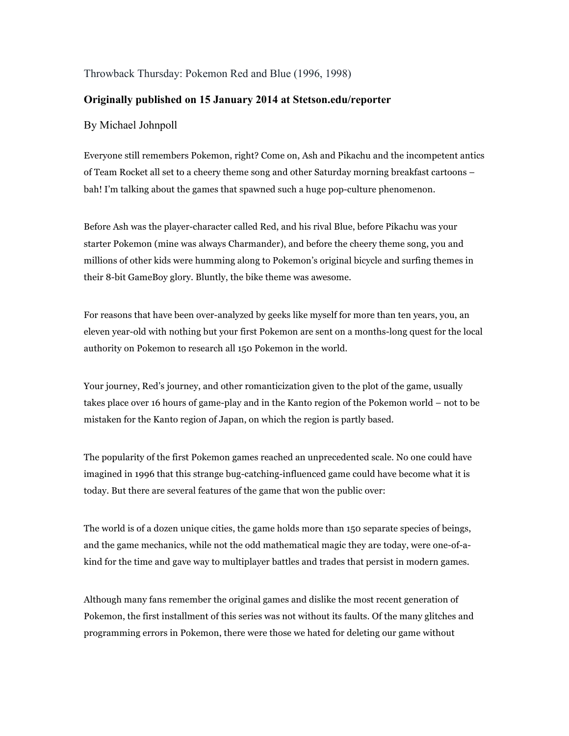## Throwback Thursday: Pokemon Red and Blue (1996, 1998)

## **Originally published on 15 January 2014 at Stetson.edu/reporter**

## By Michael Johnpoll

Everyone still remembers Pokemon, right? Come on, Ash and Pikachu and the incompetent antics of Team Rocket all set to a cheery theme song and other Saturday morning breakfast cartoons – bah! I'm talking about the games that spawned such a huge pop-culture phenomenon.

Before Ash was the player-character called Red, and his rival Blue, before Pikachu was your starter Pokemon (mine was always Charmander), and before the cheery theme song, you and millions of other kids were humming along to Pokemon's original bicycle and surfing themes in their 8-bit GameBoy glory. Bluntly, the bike theme was awesome.

For reasons that have been over-analyzed by geeks like myself for more than ten years, you, an eleven year-old with nothing but your first Pokemon are sent on a months-long quest for the local authority on Pokemon to research all 150 Pokemon in the world.

Your journey, Red's journey, and other romanticization given to the plot of the game, usually takes place over 16 hours of game-play and in the Kanto region of the Pokemon world – not to be mistaken for the Kanto region of Japan, on which the region is partly based.

The popularity of the first Pokemon games reached an unprecedented scale. No one could have imagined in 1996 that this strange bug-catching-influenced game could have become what it is today. But there are several features of the game that won the public over:

The world is of a dozen unique cities, the game holds more than 150 separate species of beings, and the game mechanics, while not the odd mathematical magic they are today, were one-of-akind for the time and gave way to multiplayer battles and trades that persist in modern games.

Although many fans remember the original games and dislike the most recent generation of Pokemon, the first installment of this series was not without its faults. Of the many glitches and programming errors in Pokemon, there were those we hated for deleting our game without